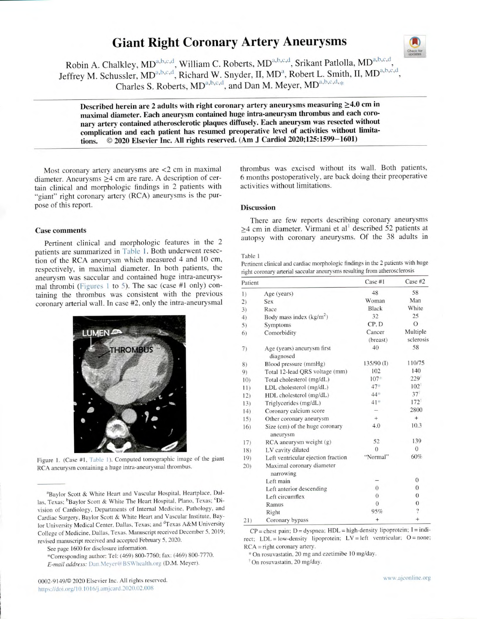# Giant Right Coronary Artery Aneurysms



Robin A. Chalkley, MD<sup>a,b,c,d</sup>, William C. Roberts, MD<sup>a,b,c,d</sup>, Srikant Patlolla, MD<sup>a,b,c,d</sup>, Jeffrey M. Schussler, MD<sup>a,b,c,d</sup>, Richard W. Snyder, II, MD<sup>a</sup>, Robert L. Smith, II, MD<sup>a,b,c,d</sup> Charles S. Roberts, MD<sup>a,b,c,d</sup>, and Dan M. Meyer, MD<sup>a,b,c,d,\*</sup>\*

Described herein are 2 adults with right coronary artery aneurysms measuring  $\geq$ 4.0 cm in maximal diameter. Each aneurysm contained huge intra-aneurysm thrombus and each coronary artery contained atherosclerotic plaques diffusely. Each aneurysm was resected without complication and each patient has resumed preoperative level of activities without limitations. © 2020 Elsevier Inc. All rights reserved. (Am J Cardiol 2020;125:1599-1601)

Most coronary artery aneurysms are <2 cm in maximal diameter. Aneurysms  $\geq$ 4 cm are rare. A description of certain clinical and morphologic findings in 2 patients with "giant" right coronary artery (RCA) aneurysms is the purpose of this report.

#### Case comments

Pertinent clinical and morphologic features in the <sup>2</sup> patients are summarized in Table 1. Both underwent resection of the RCA aneurysm which measured 4 and 10 cm, respectively, in maximal diameter. In both patients, the aneurysm was saccular and contained huge intra-aneurysmal thrombi (Figures I to 5). The sac (case #1 only) containing the thrombus was consistent with the previous coronary arterial wall. In case #2, only the intra-aneurysmal



Figure 1. (Case #1, Table 1). Computed tomographic image of the giant RCA aneurysm containing a huge intra-aneurysmal thrombus.

'Baylor Scott & White Heart and Vascular Hospital. Heartplace, Dallas, Texas; <sup>b</sup>Baylor Scott & White The Heart Hospital, Plano, Texas; <sup>c</sup>Division of Cardiology, Departments of Internal Medicine. Pathology, and Cardiac Surgery, Baylor Scott & White Heart and Vascular Institute, Baylor University Medical Center, Dallas, Texas; and <sup>d</sup>Texas A&M University College of Medicine. Dallas, Texas. Manuscript received December 5, 2019; revised manuscript received and accepted February 5. 2020.

See page 1600 for disclosure information.

\*Corresponding author: Tel: (469) 800-7760; fax: (469) 800-7770. E-mail address: Dan.Meyer@BSWhealth.org (D.M. Meyer).

thrombus was excised without its wall. Both patients, <sup>6</sup>months postoperatively, are back doing their preoperative activities without limitations.

## **Discussion**

There are few reports describing coronary aneurysms  $\geq$ 4 cm in diameter. Virmani et al<sup>1</sup> described 52 patients at autopsy with coronary aneurysms. Of the 38 adults in

#### Table 1

Pertinent clinical and cardiac morphologic findings in the 2 patients with huge right coronary arterial saccular aneurysms resulting from atherosclerosis

| Patient |                                            | Case #1        | Case #2                 |
|---------|--------------------------------------------|----------------|-------------------------|
| 1)      | Age (years)                                | 48             | 58                      |
| $_{2)}$ | Sex                                        | Woman          | Man                     |
| 3)      | Race                                       | Black          | White                   |
| 4)      | Body mass index $(kg/m2)$                  | 32             | 25                      |
| 5)      | Symptoms                                   | CP.D           | $\Omega$                |
| 6)      | Comorbidity                                | Cancer         | Multiple                |
|         |                                            | (breast)       | sclerosis               |
| 7)      | Age (years) aneurysm first<br>diagnosed    | 40             | 58                      |
| 8)      | Blood pressure (mmHg)                      | 135/90(I)      | 110/75                  |
| 9)      | Total 12-lead QRS voltage (mm)             | 102            | 140                     |
| 10)     | Total cholesterol (mg/dL)                  | $107*$         | 229'                    |
| 11)     | LDL cholesterol (mg/dL)                    | 47*            | 102                     |
| 12)     | HDL cholesterol (mg/dL)                    | 44*            | $37$ <sup>t</sup>       |
| 13)     | Triglycerides (mg/dL)                      | $41*$          | 172                     |
| 14)     | Coronary calcium score                     |                | 2800                    |
| 15)     | Other coronary aneurysm                    | $+$            | $^{+}$                  |
| 16)     | Size (cm) of the huge coronary<br>aneurysm | 4.0            | 10.3                    |
| 17)     | $RCA$ aneurysm weight $(g)$                | 52             | 139                     |
| 18)     | LV cavity dilated                          | $\Omega$       | $\Omega$                |
| 19)     | Left ventricular ejection fraction         | "Normal"       | 60%                     |
| 20)     | Maximal coronary diameter<br>narrowing     |                |                         |
|         | Left main                                  |                | $\mathbf{0}$            |
|         | Left anterior descending                   | $\theta$       | $\theta$                |
|         | Left circumflex                            | $\theta$       | $\theta$                |
|         | Ramus                                      | $\overline{0}$ | $\overline{0}$          |
|         | Right                                      | 95%            | $\overline{\mathbf{?}}$ |
| 21)     | Coronary bypass                            | $^{+}$         | $^{+}$                  |

 $CP =$  chest pain;  $D =$  dyspnea;  $HDL =$  high-density lipoprotein;  $I =$  indirect;  $LDL = low-density lipoprotein$ ;  $LV = left ventricular$ ;  $O = none$ ; RCA = right coronary artery.

\* On rosuvastatin. 20 mg and ezetimibe 10 mg/day.

On rosuvastatin, 20 mg/day.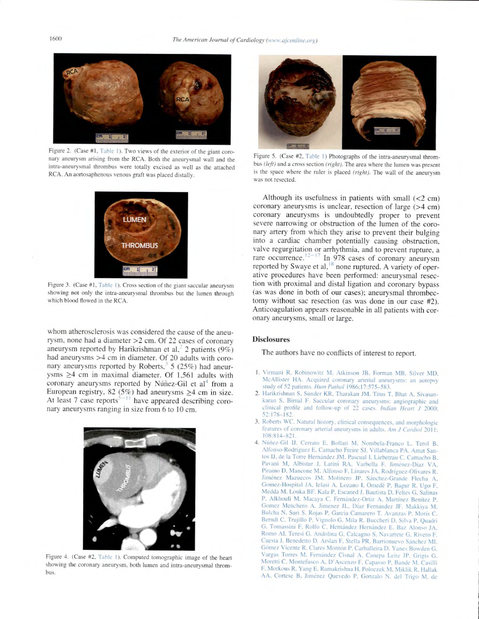

Figure 2. (Case #1, Table 1). Two views of the exterior of the giant coronary aneurysm arising from the RCA. Both the aneurysmal wall and the intra-aneurysmal thrombus were totally excised as well as the attached RCA. An aortosaphenous venous graft was placed distally.



Figure 3. (Case #1. Table I). Cross section of the giant saccular aneurysm showing not only the intra-aneurysmal thrombus but the lumen through which blood flowed in the RCA.

whom atherosclerosis was considered the cause of the aneurysm, none had a diameter >2 cm. Of 22 cases of coronary aneurysm reported by Harikrishman et al,<sup>2</sup> 2 patients (9%) had aneurysms >4 cm in diameter. Of 20 adults with coronary aneurysms reported by Roberts,<sup> $3$ </sup> 5 (25%) had aneurysms  $\geq$ 4 cm in maximal diameter. Of 1,561 adults with coronary aneurysms reported by Núñez-Gil et al<sup>4</sup> from a European registry, 82 (5%) had aneurysms  $\geq$ 4 cm in size. At least 7 case reports<sup>3-11</sup> have appeared describing coronary aneurysms ranging in size from 6 to 10 cm.



Figure 4. (Case #2, Table 1). Computed tomographic image of the heart showing the coronary aneurysm, both lumen and intra-aneurysmal thrombus.



Figure 5. (Case #2, Table 1) Photographs of the intra-aneurysmal thrombus (left) and a cross section (right). The area where the lumen was present is the space where the ruler is placed (right). The wall of the aneurysm was not resected.

Although its usefulness in patients with small  $\left($ <2 cm) coronary aneurysms is unclear, resection of large (>4 cm) coronary aneurysms is undoubtedly proper to prevent severe narrowing or obstruction of the lumen of the coronary artery from which they arise to prevent their bulging into a cardiac chamber potentially causing obstruction, valve regurgitation or arrhythmia, and to prevent rupture, <sup>a</sup> rare occurrence. $12-17$  In 978 cases of coronary aneurysm reported by Swaye et al,<sup>18</sup> none ruptured. A variety of operative procedures have been performed: aneurysmal resection with proximal and distal ligation and coronary bypass (as was done in both of our cases); aneurysmal thrombectomy without sac resection (as was done in our case #2). Anticoagulation appears reasonable in all patients with coronary aneurysms. small or large.

## **Disclosures**

The authors have no conflicts of interest to report.

- 1. Virmani R. Robinowitz M. Atkinson JB. Forman MB. Silver MD. McAllister HA. Acquired coronary arterial aneurysms: an autopsy study of 52 patients. Hum Pathol 1986;17:575-583.
- 2. Harikrishnan S, Sunder KR. Tharakan JM. Titus T. Bhat A. Sivasankaran S. Bimal F. Saccular coronary aneurysms: angiographic and clinical profile and follow-up of 22 cases. Indian Heart J 2000; 52 178-182.
- 3. Roberts WC. Natural history. clinical consequences, and morphologic features of coronary arterial aneurysms in adults. Am J Cardiol 2011; 108:814-821.
- 4. Núñez-Gil IJ. Cerrato E. Bollati M, Nombela-Franco L. Terol B, Allonso-Rodrigucz F. Camacho Freire SJ. Villablanca PA. Amat Santos IJ, de la Torre Hernández JM, Pascual I, Liebetrau C. Camacho B, Pavani M. Albistur J. Latini RA. Varbella F. Jiménez-Díaz VA. Piraino D, Mancone M. Alfonso F, Linares JA, Rodríguez-Olivares R. Jiménez Mazuecos JM, Molinero JP. Sánchez-Grande Flecha A, Gomez-Hospital JA, Ielasi A. Lozano I. Omedè P, Bagur R, Ugo F. Mcdda M. Louka BF. Kala P. Escaned J. Bautista D. Feltes G. Salinas P. Alkhouli M. Macaya C. Fernández-Ortiz A. Martínez Benítez P. Gomez Menchero A. Jimenez J1.. Diaz Fernandez JF. Makkiya M. Bulcha N. Suri S. Rojas P, Garcia Camarero T. Avanzas P. Moris C. Berndt C. Trujillo P. Vignolo G. Mila R. Buccheri D. Silva P. Quadri G. Tomassini F. Rollo C. Hernandez Hernandez E. Bar Alonso JA. Romo Al. Teresi G. Andolina G. Calcagno S. Nasarrete G. Rivera F. Cuesta J. Benedetto D. Arslan F. Stella PR, Bamonueso Sanchez Ml. Gómez Vicente R, Clares Montón P, Carballeira D, Yanes Bowden G. Vargas Torres M. Fernandez Cisnal A. Canepa Leite JP. Grigis G. Moretti C, Montefusco A, D'Ascenzo F, Capasso P, Bande M, Casilli F. Morkous R. Yang E. Ramakrishna H. Polocrek M. \tiklik R. Hallak AA. Cortese B. Jiménez Quevedo P. Gonzalo N. del Trigo M. de